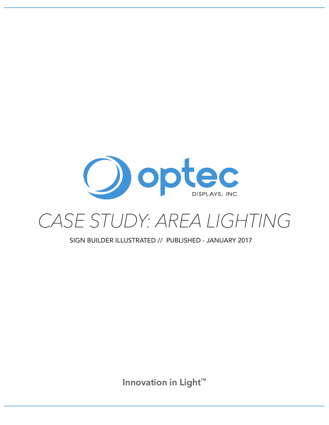

## *CASE STUDY: AREA LIGHTING*

SIGN BUILDER ILLUSTRATED // PUBLISHED - JANUARY 2017

**Innovation in Light™**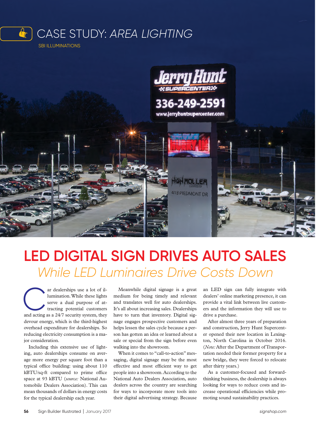



## **LED DIGITAL SIGN DRIVES AUTO SALES** *While LED Luminaires Drive Costs Down*

ar dealerships use a lot of illumination. While these lights serve a dual purpose of attracting potential customers<br>and acting as a 24/7 security system, they lumination. While these lights serve a dual purpose of attracting potential customers devour energy, which is the third-highest overhead expenditure for dealerships. So reducing electricity consumption is a major consideration.

Including this extensive use of lighting, auto dealerships consume on average more energy per square foot than a typical office building: using about 110 kBTU/sq-ft compared to prime office space at 93 kBTU (*source:* National Automobile Dealers Association). This can mean thousands of dollars in energy costs for the typical dealership each year.

Meanwhile digital signage is a great medium for being timely and relevant and translates well for auto dealerships. It's all about increasing sales. Dealerships have to turn that inventory. Digital signage engages prospective customers and helps lessen the sales cycle because a person has gotten an idea or learned about a sale or special from the sign before even walking into the showroom.

When it comes to "call-to-action" messaging, digital signage may be the most effective and most efficient way to get people into a showroom. According to the National Auto Dealers Association, auto dealers across the country are searching for ways to incorporate more tools into their digital advertising strategy. Because an LED sign can fully integrate with dealers' online marketing presence, it can provide a vital link between live customers and the information they will use to drive a purchase.

After almost three years of preparation and construction, Jerry Hunt Supercenter opened their new location in Lexington, North Carolina in October 2016. (*Note:* After the Department of Transportation needed their former property for a new bridge, they were forced to relocate after thirty years.)

As a customer-focused and forwardthinking business, the dealership is always looking for ways to reduce costs and increase operational efficiencies while promoting sound sustainability practices.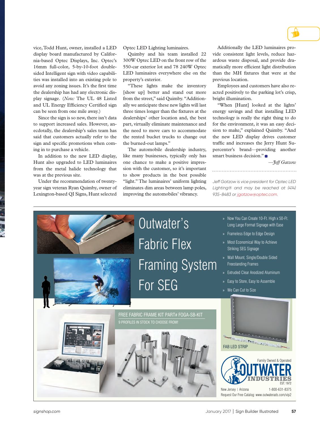vice, Todd Hunt, owner, installed a LED display board manufactured by California-based Optec Displays, Inc. Optec's 16mm full-color, 5-by-10-foot doublesided Intelligent sign with video capabilities was installed into an existing pole to avoid any zoning issues. It's the first time the dealership has had any electronic display signage. (*Note:* The UL 48 Listed and UL Energy Efficiency Certified sign can be seen from one mile away.)

Since the sign is so new, there isn't data to support increased sales. However, anecdotally, the dealership's sales team has said that customers actually refer to the sign and specific promotions when coming in to purchase a vehicle.

In addition to the new LED display, Hunt also upgraded to LED luminaires from the metal halide technology that was at the previous site.

Under the recommendation of twentyyear sign veteran Ryan Quimby, owner of Lexington-based QI Signs, Hunt selected

Optec LED Lighting luminaires.

Quimby and his team installed 22 300W Optec LED on the front row of the 550-car exterior lot and 78 240W Optec LED luminaires everywhere else on the property's exterior.

"These lights make the inventory [show up] better and stand out more from the street," said Quimby. "Additionally we anticipate these new lights will last three times longer than the fixtures at the dealerships' other location and, the best part, virtually eliminate maintenance and the need to move cars to accommodate the rented bucket trucks to change out the burned-out lamps."

The automobile dealership industry, like many businesses, typically only has one chance to make a positive impression with the customer, so it's important to show products in the best possible "light." The luminaires' uniform lighting eliminates dim areas between lamp poles, improving the automobiles' vibrancy.

Additionally the LED luminaires provide consistent light levels, reduce hazardous waste disposal, and provide dramatically more efficient light distribution than the MH fixtures that were at the previous location.

Employees and customers have also reacted positively to the parking lot's crisp, bright illumination.

"When [Hunt] looked at the lights' energy savings and that installing LED technology is really the right thing to do for the environment, it was an easy decision to make," explained Quimby. "And the new LED display drives customer traffic and increases the Jerry Hunt Supercenter's brand—providing another smart business decision."

*—Jeff Gatzow*

*Jeff Gatzow is vice president for Optec LED Lighting® and may be reached at (414) 935-8483 or jgatzow@optec.com.*